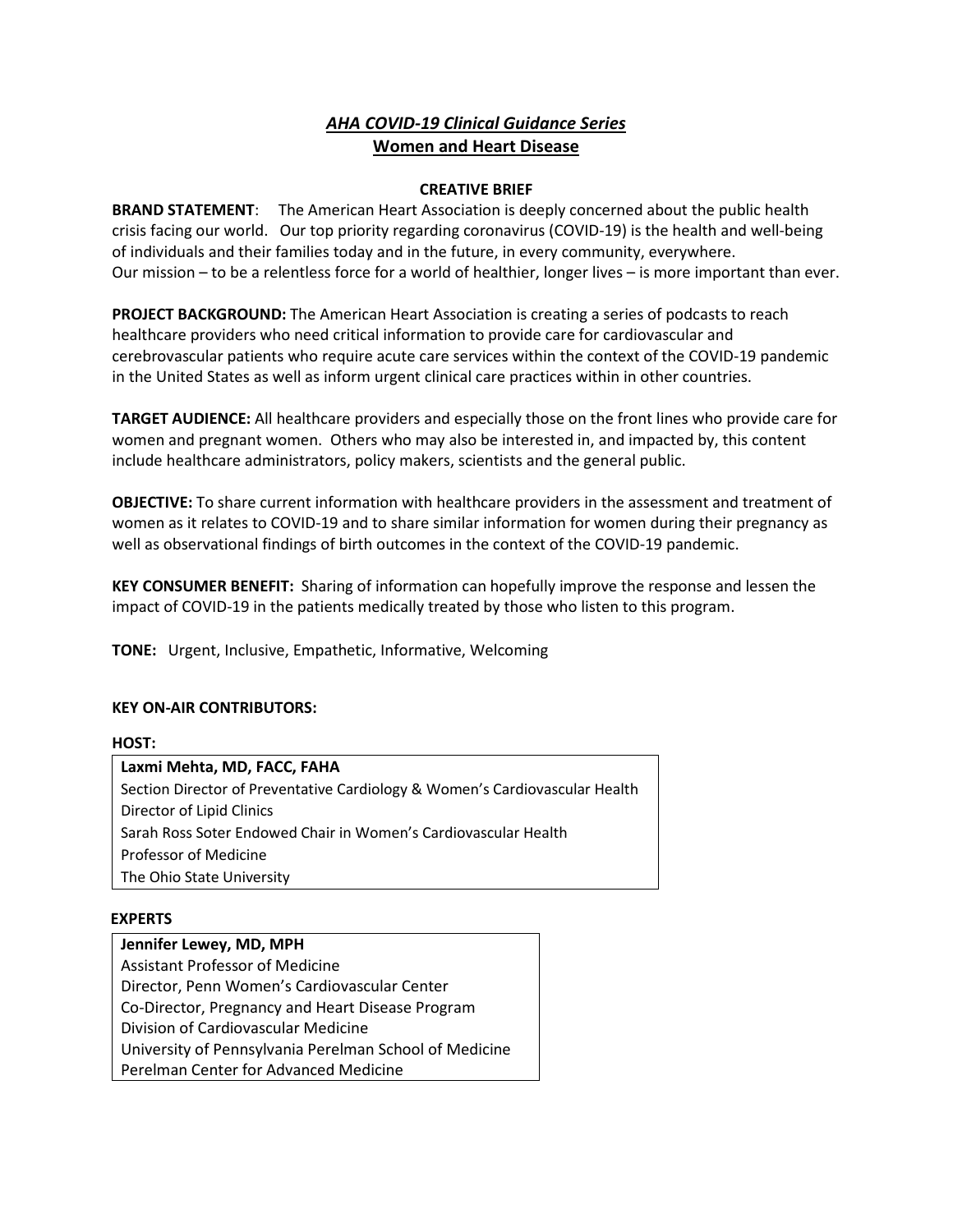# *AHA COVID-19 Clinical Guidance Series*  **Women and Heart Disease**

### **CREATIVE BRIEF**

**BRAND STATEMENT**: The American Heart Association is deeply concerned about the public health crisis facing our world. Our top priority regarding coronavirus (COVID-19) is the health and well-being of individuals and their families today and in the future, in every community, everywhere. Our mission – to be a relentless force for a world of healthier, longer lives – is more important than ever.

**PROJECT BACKGROUND:** The American Heart Association is creating a series of podcasts to reach healthcare providers who need critical information to provide care for cardiovascular and cerebrovascular patients who require acute care services within the context of the COVID-19 pandemic in the United States as well as inform urgent clinical care practices within in other countries.

**TARGET AUDIENCE:** All healthcare providers and especially those on the front lines who provide care for women and pregnant women. Others who may also be interested in, and impacted by, this content include healthcare administrators, policy makers, scientists and the general public.

**OBJECTIVE:** To share current information with healthcare providers in the assessment and treatment of women as it relates to COVID-19 and to share similar information for women during their pregnancy as well as observational findings of birth outcomes in the context of the COVID-19 pandemic.

**KEY CONSUMER BENEFIT:** Sharing of information can hopefully improve the response and lessen the impact of COVID-19 in the patients medically treated by those who listen to this program.

**TONE:** Urgent, Inclusive, Empathetic, Informative, Welcoming

## **KEY ON-AIR CONTRIBUTORS:**

#### **HOST:**

| Laxmi Mehta, MD, FACC, FAHA                                                 |
|-----------------------------------------------------------------------------|
| Section Director of Preventative Cardiology & Women's Cardiovascular Health |
| Director of Lipid Clinics                                                   |
| Sarah Ross Soter Endowed Chair in Women's Cardiovascular Health             |
| Professor of Medicine                                                       |
| The Ohio State University                                                   |

#### **EXPERTS**

**Jennifer Lewey, MD, MPH** Assistant Professor of Medicine Director, Penn Women's Cardiovascular Center Co-Director, Pregnancy and Heart Disease Program Division of Cardiovascular Medicine University of Pennsylvania Perelman School of Medicine Perelman Center for Advanced Medicine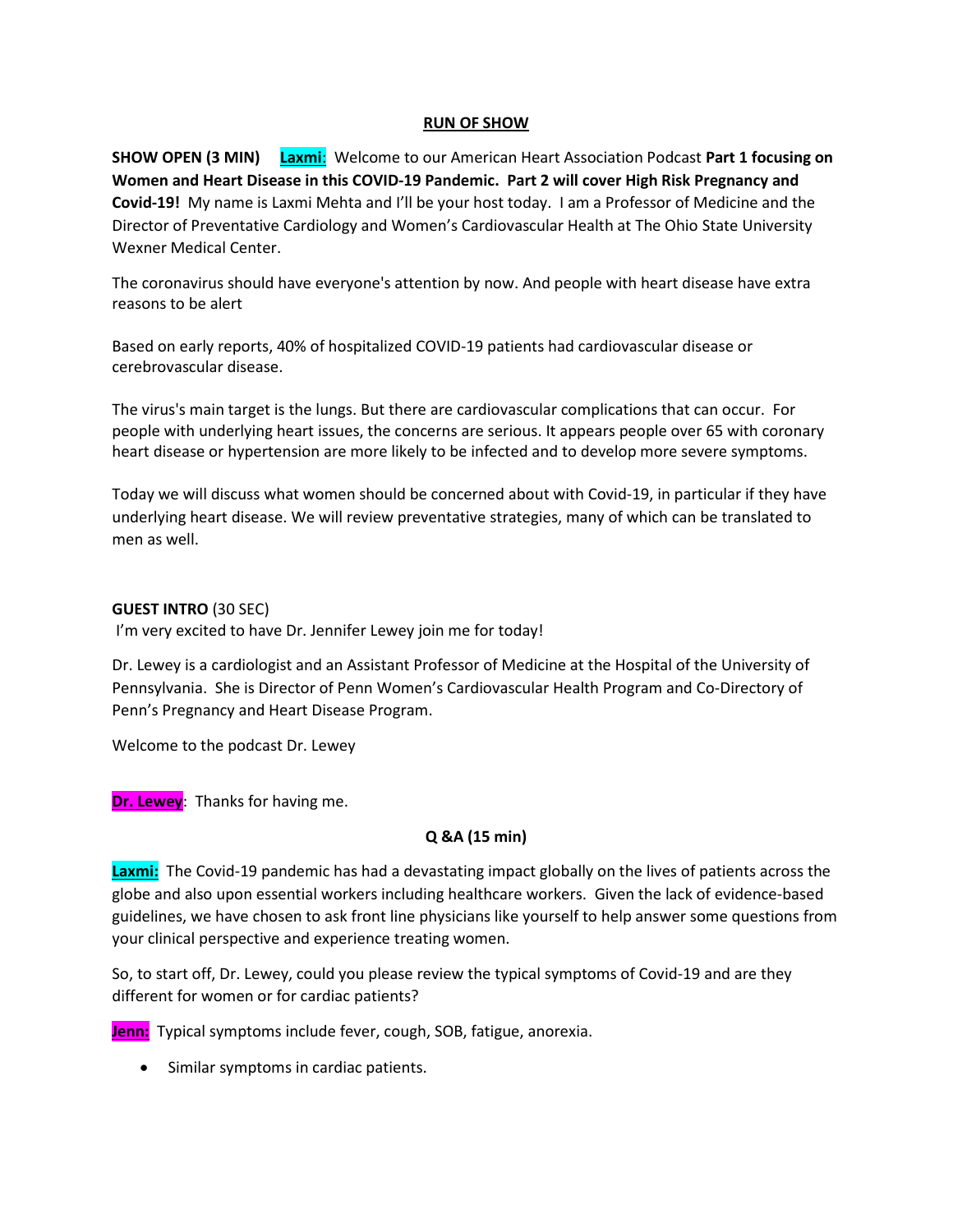### **RUN OF SHOW**

**SHOW OPEN (3 MIN) Laxmi**: Welcome to our American Heart Association Podcast **Part 1 focusing on Women and Heart Disease in this COVID-19 Pandemic. Part 2 will cover High Risk Pregnancy and Covid-19!** My name is Laxmi Mehta and I'll be your host today. I am a Professor of Medicine and the Director of Preventative Cardiology and Women's Cardiovascular Health at The Ohio State University Wexner Medical Center.

The coronavirus should have everyone's attention by now. And people with heart disease have [extra](https://www.youtube.com/watch?v=VW7zNAz9gA0)  [reasons to be alert](https://www.youtube.com/watch?v=VW7zNAz9gA0)

Based on early reports, 40% of hospitalized COVID-19 patients had cardiovascular disease or cerebrovascular disease.

The virus's main target is the lungs. But there are cardiovascular complications that can occur. For people with underlying heart issues, the concerns are serious. It appears people over 65 with coronary heart disease or hypertension are more likely to be infected and to develop more severe symptoms.

Today we will discuss what women should be concerned about with Covid-19, in particular if they have underlying heart disease. We will review preventative strategies, many of which can be translated to men as well.

#### **GUEST INTRO** (30 SEC)

I'm very excited to have Dr. Jennifer Lewey join me for today!

Dr. Lewey is a cardiologist and an Assistant Professor of Medicine at the Hospital of the University of Pennsylvania. She is Director of Penn Women's Cardiovascular Health Program and Co-Directory of Penn's Pregnancy and Heart Disease Program.

Welcome to the podcast Dr. Lewey

**Dr. Lewey**: Thanks for having me.

## **Q &A (15 min)**

**Laxmi:** The Covid-19 pandemic has had a devastating impact globally on the lives of patients across the globe and also upon essential workers including healthcare workers. Given the lack of evidence-based guidelines, we have chosen to ask front line physicians like yourself to help answer some questions from your clinical perspective and experience treating women.

So, to start off, Dr. Lewey, could you please review the typical symptoms of Covid-19 and are they different for women or for cardiac patients?

**Jenn:** Typical symptoms include fever, cough, SOB, fatigue, anorexia.

• Similar symptoms in cardiac patients.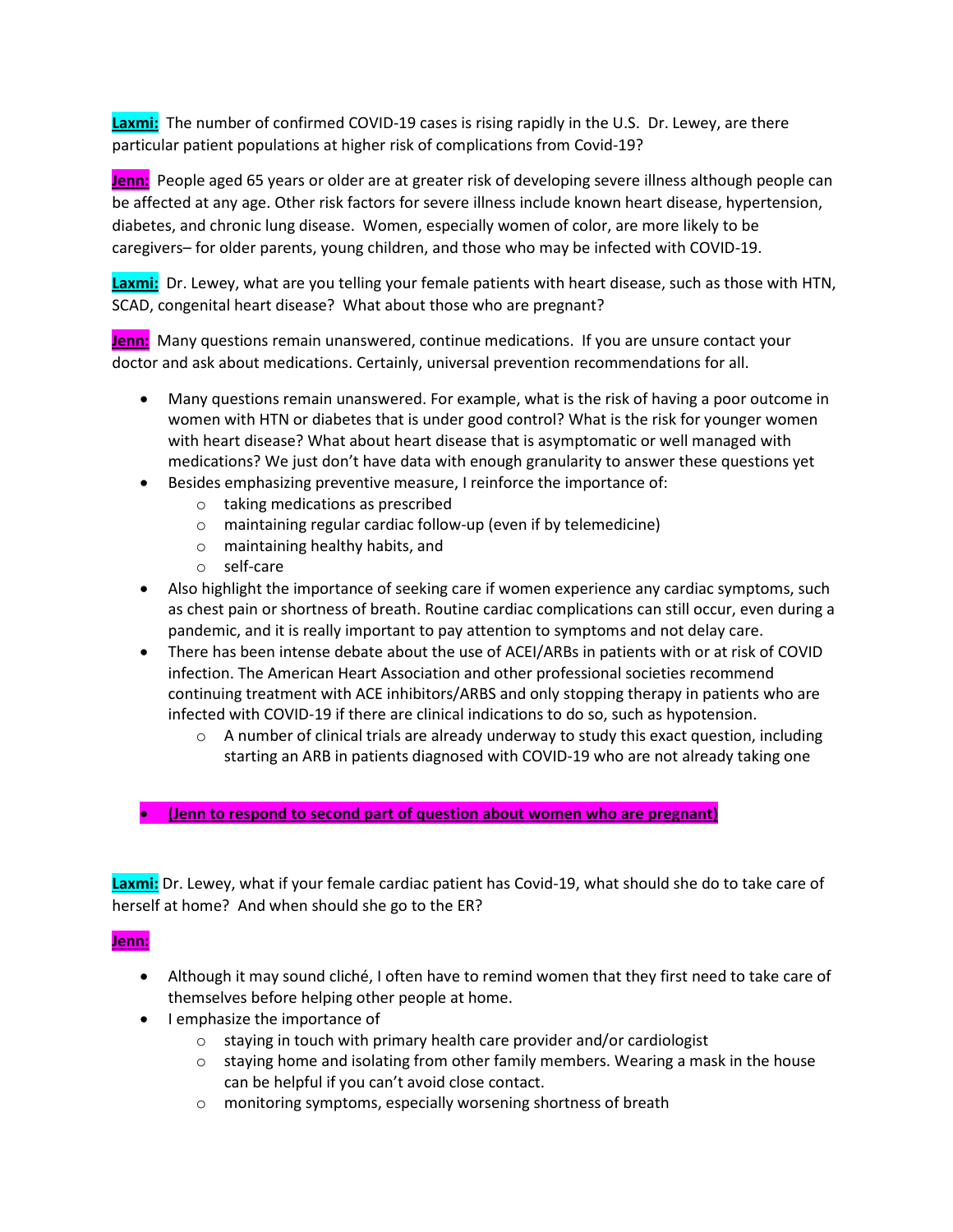**Laxmi:** The number of confirmed COVID-19 cases is rising rapidly in the U.S. Dr. Lewey, are there particular patient populations at higher risk of complications from Covid-19?

**Jenn:** People aged 65 years or older are at greater risk of developing severe illness although people can be affected at any age. Other risk factors for severe illness include known heart disease, hypertension, diabetes, and chronic lung disease. Women, especially women of color, are more likely to be caregivers– for older parents, young children, and those who may be infected with COVID-19.

Laxmi: Dr. Lewey, what are you telling your female patients with heart disease, such as those with HTN, SCAD, congenital heart disease? What about those who are pregnant?

**Jenn:** Many questions remain unanswered, continue medications. If you are unsure contact your doctor and ask about medications. Certainly, universal prevention recommendations for all.

- Many questions remain unanswered. For example, what is the risk of having a poor outcome in women with HTN or diabetes that is under good control? What is the risk for younger women with heart disease? What about heart disease that is asymptomatic or well managed with medications? We just don't have data with enough granularity to answer these questions yet
- Besides emphasizing preventive measure, I reinforce the importance of:
	- o taking medications as prescribed
	- o maintaining regular cardiac follow-up (even if by telemedicine)
	- o maintaining healthy habits, and
	- o self-care
- Also highlight the importance of seeking care if women experience any cardiac symptoms, such as chest pain or shortness of breath. Routine cardiac complications can still occur, even during a pandemic, and it is really important to pay attention to symptoms and not delay care.
- There has been intense debate about the use of ACEI/ARBs in patients with or at risk of COVID infection. The American Heart Association and other professional societies recommend continuing treatment with ACE inhibitors/ARBS and only stopping therapy in patients who are infected with COVID-19 if there are clinical indications to do so, such as hypotension.
	- $\circ$  A number of clinical trials are already underway to study this exact question, including starting an ARB in patients diagnosed with COVID-19 who are not already taking one
- **(Jenn to respond to second part of question about women who are pregnant)**

**Laxmi:** Dr. Lewey, what if your female cardiac patient has Covid-19, what should she do to take care of herself at home? And when should she go to the ER?

## **Jenn:**

- Although it may sound cliché, I often have to remind women that they first need to take care of themselves before helping other people at home.
- I emphasize the importance of
	- o staying in touch with primary health care provider and/or cardiologist
	- $\circ$  staying home and isolating from other family members. Wearing a mask in the house can be helpful if you can't avoid close contact.
	- o monitoring symptoms, especially worsening shortness of breath